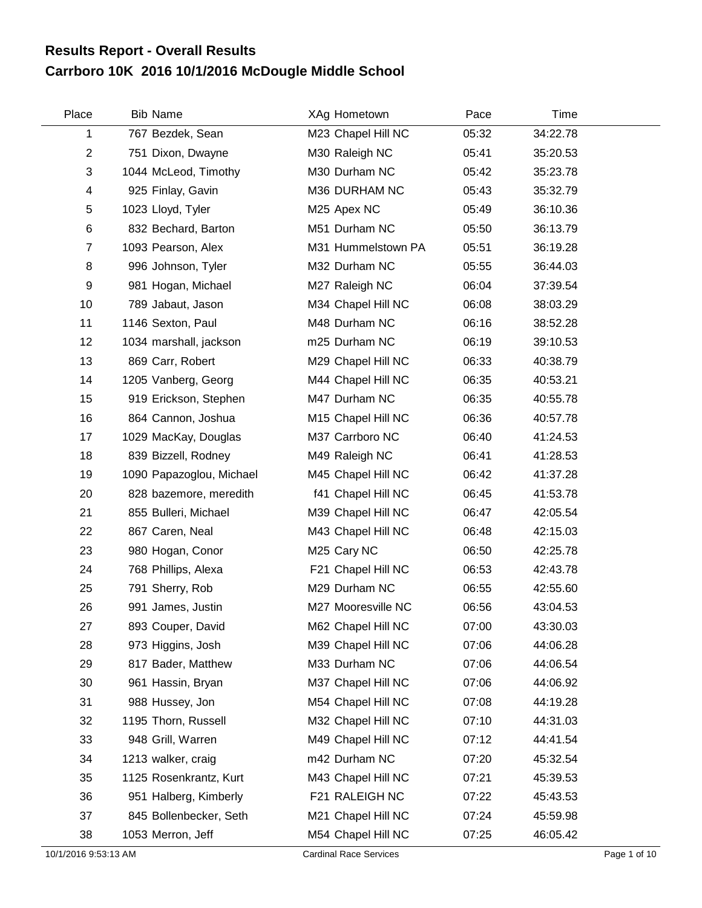## **Carrboro 10K 2016 10/1/2016 McDougle Middle School Results Report - Overall Results**

| Place          | <b>Bib Name</b>          | XAg Hometown       | Pace  | Time     |  |
|----------------|--------------------------|--------------------|-------|----------|--|
| 1              | 767 Bezdek, Sean         | M23 Chapel Hill NC | 05:32 | 34:22.78 |  |
| $\overline{2}$ | 751 Dixon, Dwayne        | M30 Raleigh NC     | 05:41 | 35:20.53 |  |
| 3              | 1044 McLeod, Timothy     | M30 Durham NC      | 05:42 | 35:23.78 |  |
| 4              | 925 Finlay, Gavin        | M36 DURHAM NC      | 05:43 | 35:32.79 |  |
| 5              | 1023 Lloyd, Tyler        | M25 Apex NC        | 05:49 | 36:10.36 |  |
| 6              | 832 Bechard, Barton      | M51 Durham NC      | 05:50 | 36:13.79 |  |
| $\overline{7}$ | 1093 Pearson, Alex       | M31 Hummelstown PA | 05:51 | 36:19.28 |  |
| 8              | 996 Johnson, Tyler       | M32 Durham NC      | 05:55 | 36:44.03 |  |
| 9              | 981 Hogan, Michael       | M27 Raleigh NC     | 06:04 | 37:39.54 |  |
| 10             | 789 Jabaut, Jason        | M34 Chapel Hill NC | 06:08 | 38:03.29 |  |
| 11             | 1146 Sexton, Paul        | M48 Durham NC      | 06:16 | 38:52.28 |  |
| 12             | 1034 marshall, jackson   | m25 Durham NC      | 06:19 | 39:10.53 |  |
| 13             | 869 Carr, Robert         | M29 Chapel Hill NC | 06:33 | 40:38.79 |  |
| 14             | 1205 Vanberg, Georg      | M44 Chapel Hill NC | 06:35 | 40:53.21 |  |
| 15             | 919 Erickson, Stephen    | M47 Durham NC      | 06:35 | 40:55.78 |  |
| 16             | 864 Cannon, Joshua       | M15 Chapel Hill NC | 06:36 | 40:57.78 |  |
| 17             | 1029 MacKay, Douglas     | M37 Carrboro NC    | 06:40 | 41:24.53 |  |
| 18             | 839 Bizzell, Rodney      | M49 Raleigh NC     | 06:41 | 41:28.53 |  |
| 19             | 1090 Papazoglou, Michael | M45 Chapel Hill NC | 06:42 | 41:37.28 |  |
| 20             | 828 bazemore, meredith   | f41 Chapel Hill NC | 06:45 | 41:53.78 |  |
| 21             | 855 Bulleri, Michael     | M39 Chapel Hill NC | 06:47 | 42:05.54 |  |
| 22             | 867 Caren, Neal          | M43 Chapel Hill NC | 06:48 | 42:15.03 |  |
| 23             | 980 Hogan, Conor         | M25 Cary NC        | 06:50 | 42:25.78 |  |
| 24             | 768 Phillips, Alexa      | F21 Chapel Hill NC | 06:53 | 42:43.78 |  |
| 25             | 791 Sherry, Rob          | M29 Durham NC      | 06:55 | 42:55.60 |  |
| 26             | 991 James, Justin        | M27 Mooresville NC | 06:56 | 43:04.53 |  |
| 27             | 893 Couper, David        | M62 Chapel Hill NC | 07:00 | 43:30.03 |  |
| 28             | 973 Higgins, Josh        | M39 Chapel Hill NC | 07:06 | 44:06.28 |  |
| 29             | 817 Bader, Matthew       | M33 Durham NC      | 07:06 | 44:06.54 |  |
| 30             | 961 Hassin, Bryan        | M37 Chapel Hill NC | 07:06 | 44:06.92 |  |
| 31             | 988 Hussey, Jon          | M54 Chapel Hill NC | 07:08 | 44:19.28 |  |
| 32             | 1195 Thorn, Russell      | M32 Chapel Hill NC | 07:10 | 44:31.03 |  |
| 33             | 948 Grill, Warren        | M49 Chapel Hill NC | 07:12 | 44:41.54 |  |
| 34             | 1213 walker, craig       | m42 Durham NC      | 07:20 | 45:32.54 |  |
| 35             | 1125 Rosenkrantz, Kurt   | M43 Chapel Hill NC | 07:21 | 45:39.53 |  |
| 36             | 951 Halberg, Kimberly    | F21 RALEIGH NC     | 07:22 | 45:43.53 |  |
| 37             | 845 Bollenbecker, Seth   | M21 Chapel Hill NC | 07:24 | 45:59.98 |  |
| 38             | 1053 Merron, Jeff        | M54 Chapel Hill NC | 07:25 | 46:05.42 |  |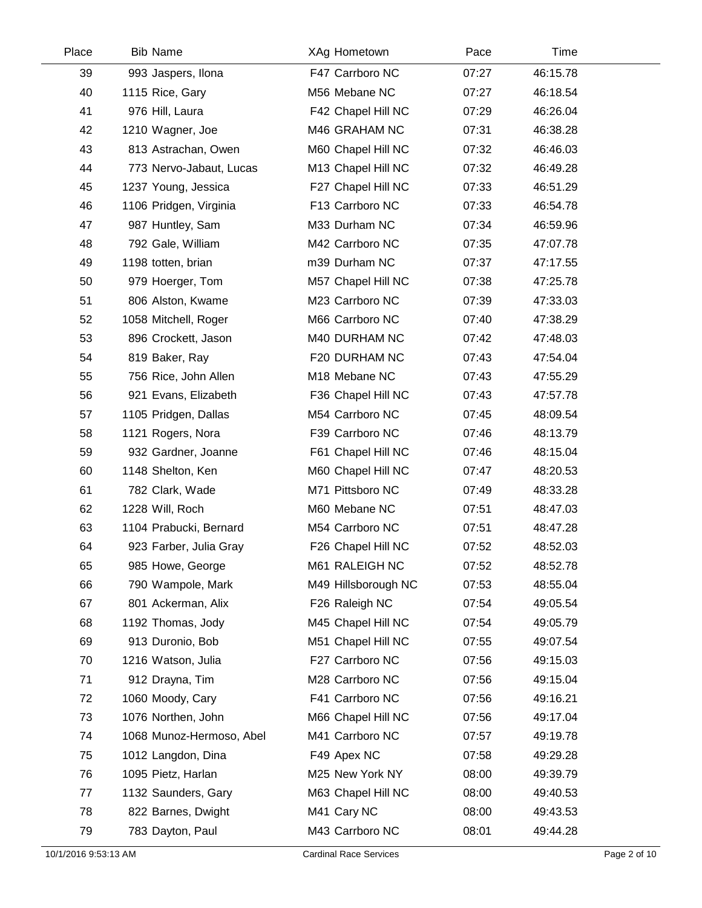| Place | <b>Bib Name</b>          | XAg Hometown        | Pace  | Time     |  |
|-------|--------------------------|---------------------|-------|----------|--|
| 39    | 993 Jaspers, Ilona       | F47 Carrboro NC     | 07:27 | 46:15.78 |  |
| 40    | 1115 Rice, Gary          | M56 Mebane NC       | 07:27 | 46:18.54 |  |
| 41    | 976 Hill, Laura          | F42 Chapel Hill NC  | 07:29 | 46:26.04 |  |
| 42    | 1210 Wagner, Joe         | M46 GRAHAM NC       | 07:31 | 46:38.28 |  |
| 43    | 813 Astrachan, Owen      | M60 Chapel Hill NC  | 07:32 | 46:46.03 |  |
| 44    | 773 Nervo-Jabaut, Lucas  | M13 Chapel Hill NC  | 07:32 | 46:49.28 |  |
| 45    | 1237 Young, Jessica      | F27 Chapel Hill NC  | 07:33 | 46:51.29 |  |
| 46    | 1106 Pridgen, Virginia   | F13 Carrboro NC     | 07:33 | 46:54.78 |  |
| 47    | 987 Huntley, Sam         | M33 Durham NC       | 07:34 | 46:59.96 |  |
| 48    | 792 Gale, William        | M42 Carrboro NC     | 07:35 | 47:07.78 |  |
| 49    | 1198 totten, brian       | m39 Durham NC       | 07:37 | 47:17.55 |  |
| 50    | 979 Hoerger, Tom         | M57 Chapel Hill NC  | 07:38 | 47:25.78 |  |
| 51    | 806 Alston, Kwame        | M23 Carrboro NC     | 07:39 | 47:33.03 |  |
| 52    | 1058 Mitchell, Roger     | M66 Carrboro NC     | 07:40 | 47:38.29 |  |
| 53    | 896 Crockett, Jason      | M40 DURHAM NC       | 07:42 | 47:48.03 |  |
| 54    | 819 Baker, Ray           | F20 DURHAM NC       | 07:43 | 47:54.04 |  |
| 55    | 756 Rice, John Allen     | M18 Mebane NC       | 07:43 | 47:55.29 |  |
| 56    | 921 Evans, Elizabeth     | F36 Chapel Hill NC  | 07:43 | 47:57.78 |  |
| 57    | 1105 Pridgen, Dallas     | M54 Carrboro NC     | 07:45 | 48:09.54 |  |
| 58    | 1121 Rogers, Nora        | F39 Carrboro NC     | 07:46 | 48:13.79 |  |
| 59    | 932 Gardner, Joanne      | F61 Chapel Hill NC  | 07:46 | 48:15.04 |  |
| 60    | 1148 Shelton, Ken        | M60 Chapel Hill NC  | 07:47 | 48:20.53 |  |
| 61    | 782 Clark, Wade          | M71 Pittsboro NC    | 07:49 | 48:33.28 |  |
| 62    | 1228 Will, Roch          | M60 Mebane NC       | 07:51 | 48:47.03 |  |
| 63    | 1104 Prabucki, Bernard   | M54 Carrboro NC     | 07:51 | 48:47.28 |  |
| 64    | 923 Farber, Julia Gray   | F26 Chapel Hill NC  | 07:52 | 48:52.03 |  |
| 65    | 985 Howe, George         | M61 RALEIGH NC      | 07:52 | 48:52.78 |  |
| 66    | 790 Wampole, Mark        | M49 Hillsborough NC | 07:53 | 48:55.04 |  |
| 67    | 801 Ackerman, Alix       | F26 Raleigh NC      | 07:54 | 49:05.54 |  |
| 68    | 1192 Thomas, Jody        | M45 Chapel Hill NC  | 07:54 | 49:05.79 |  |
| 69    | 913 Duronio, Bob         | M51 Chapel Hill NC  | 07:55 | 49:07.54 |  |
| 70    | 1216 Watson, Julia       | F27 Carrboro NC     | 07:56 | 49:15.03 |  |
| 71    | 912 Drayna, Tim          | M28 Carrboro NC     | 07:56 | 49:15.04 |  |
| 72    | 1060 Moody, Cary         | F41 Carrboro NC     | 07:56 | 49:16.21 |  |
| 73    | 1076 Northen, John       | M66 Chapel Hill NC  | 07:56 | 49:17.04 |  |
| 74    | 1068 Munoz-Hermoso, Abel | M41 Carrboro NC     | 07:57 | 49:19.78 |  |
| 75    | 1012 Langdon, Dina       | F49 Apex NC         | 07:58 | 49:29.28 |  |
| 76    | 1095 Pietz, Harlan       | M25 New York NY     | 08:00 | 49:39.79 |  |
| 77    | 1132 Saunders, Gary      | M63 Chapel Hill NC  | 08:00 | 49:40.53 |  |
| 78    | 822 Barnes, Dwight       | M41 Cary NC         | 08:00 | 49:43.53 |  |
| 79    | 783 Dayton, Paul         | M43 Carrboro NC     | 08:01 | 49:44.28 |  |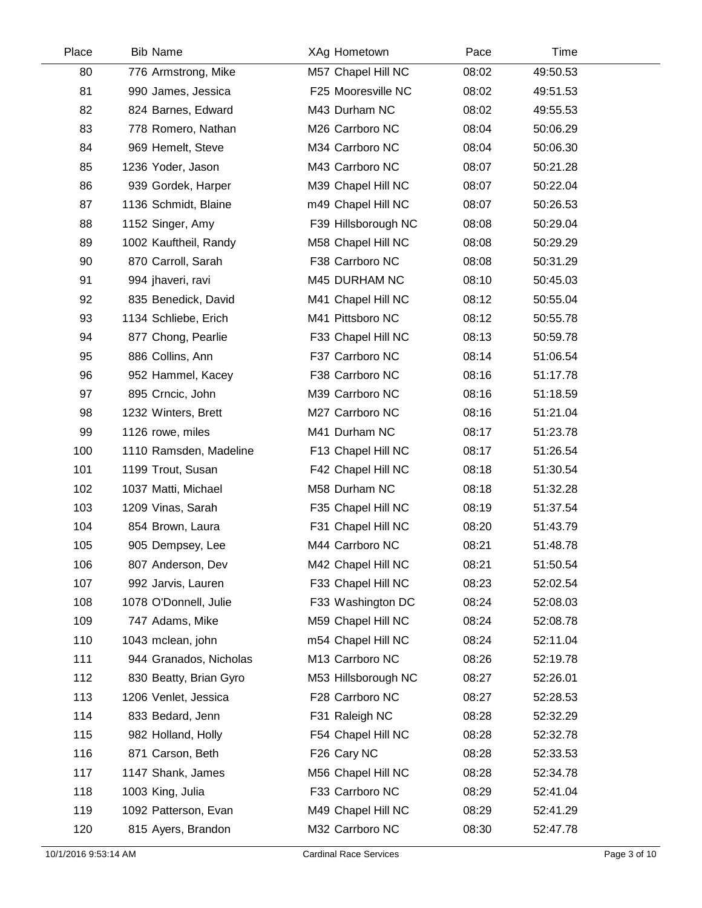| Place | <b>Bib Name</b>        | XAg Hometown        | Pace  | Time     |  |
|-------|------------------------|---------------------|-------|----------|--|
| 80    | 776 Armstrong, Mike    | M57 Chapel Hill NC  | 08:02 | 49:50.53 |  |
| 81    | 990 James, Jessica     | F25 Mooresville NC  | 08:02 | 49:51.53 |  |
| 82    | 824 Barnes, Edward     | M43 Durham NC       | 08:02 | 49:55.53 |  |
| 83    | 778 Romero, Nathan     | M26 Carrboro NC     | 08:04 | 50:06.29 |  |
| 84    | 969 Hemelt, Steve      | M34 Carrboro NC     | 08:04 | 50:06.30 |  |
| 85    | 1236 Yoder, Jason      | M43 Carrboro NC     | 08:07 | 50:21.28 |  |
| 86    | 939 Gordek, Harper     | M39 Chapel Hill NC  | 08:07 | 50:22.04 |  |
| 87    | 1136 Schmidt, Blaine   | m49 Chapel Hill NC  | 08:07 | 50:26.53 |  |
| 88    | 1152 Singer, Amy       | F39 Hillsborough NC | 08:08 | 50:29.04 |  |
| 89    | 1002 Kauftheil, Randy  | M58 Chapel Hill NC  | 08:08 | 50:29.29 |  |
| 90    | 870 Carroll, Sarah     | F38 Carrboro NC     | 08:08 | 50:31.29 |  |
| 91    | 994 jhaveri, ravi      | M45 DURHAM NC       | 08:10 | 50:45.03 |  |
| 92    | 835 Benedick, David    | M41 Chapel Hill NC  | 08:12 | 50:55.04 |  |
| 93    | 1134 Schliebe, Erich   | M41 Pittsboro NC    | 08:12 | 50:55.78 |  |
| 94    | 877 Chong, Pearlie     | F33 Chapel Hill NC  | 08:13 | 50:59.78 |  |
| 95    | 886 Collins, Ann       | F37 Carrboro NC     | 08:14 | 51:06.54 |  |
| 96    | 952 Hammel, Kacey      | F38 Carrboro NC     | 08:16 | 51:17.78 |  |
| 97    | 895 Crncic, John       | M39 Carrboro NC     | 08:16 | 51:18.59 |  |
| 98    | 1232 Winters, Brett    | M27 Carrboro NC     | 08:16 | 51:21.04 |  |
| 99    | 1126 rowe, miles       | M41 Durham NC       | 08:17 | 51:23.78 |  |
| 100   | 1110 Ramsden, Madeline | F13 Chapel Hill NC  | 08:17 | 51:26.54 |  |
| 101   | 1199 Trout, Susan      | F42 Chapel Hill NC  | 08:18 | 51:30.54 |  |
| 102   | 1037 Matti, Michael    | M58 Durham NC       | 08:18 | 51:32.28 |  |
| 103   | 1209 Vinas, Sarah      | F35 Chapel Hill NC  | 08:19 | 51:37.54 |  |
| 104   | 854 Brown, Laura       | F31 Chapel Hill NC  | 08:20 | 51:43.79 |  |
| 105   | 905 Dempsey, Lee       | M44 Carrboro NC     | 08:21 | 51:48.78 |  |
| 106   | 807 Anderson, Dev      | M42 Chapel Hill NC  | 08:21 | 51:50.54 |  |
| 107   | 992 Jarvis, Lauren     | F33 Chapel Hill NC  | 08:23 | 52:02.54 |  |
| 108   | 1078 O'Donnell, Julie  | F33 Washington DC   | 08:24 | 52:08.03 |  |
| 109   | 747 Adams, Mike        | M59 Chapel Hill NC  | 08:24 | 52:08.78 |  |
| 110   | 1043 mclean, john      | m54 Chapel Hill NC  | 08:24 | 52:11.04 |  |
| 111   | 944 Granados, Nicholas | M13 Carrboro NC     | 08:26 | 52:19.78 |  |
| 112   | 830 Beatty, Brian Gyro | M53 Hillsborough NC | 08:27 | 52:26.01 |  |
| 113   | 1206 Venlet, Jessica   | F28 Carrboro NC     | 08:27 | 52:28.53 |  |
| 114   | 833 Bedard, Jenn       | F31 Raleigh NC      | 08:28 | 52:32.29 |  |
| 115   | 982 Holland, Holly     | F54 Chapel Hill NC  | 08:28 | 52:32.78 |  |
| 116   | 871 Carson, Beth       | F26 Cary NC         | 08:28 | 52:33.53 |  |
| 117   | 1147 Shank, James      | M56 Chapel Hill NC  | 08:28 | 52:34.78 |  |
| 118   | 1003 King, Julia       | F33 Carrboro NC     | 08:29 | 52:41.04 |  |
| 119   | 1092 Patterson, Evan   | M49 Chapel Hill NC  | 08:29 | 52:41.29 |  |
| 120   | 815 Ayers, Brandon     | M32 Carrboro NC     | 08:30 | 52:47.78 |  |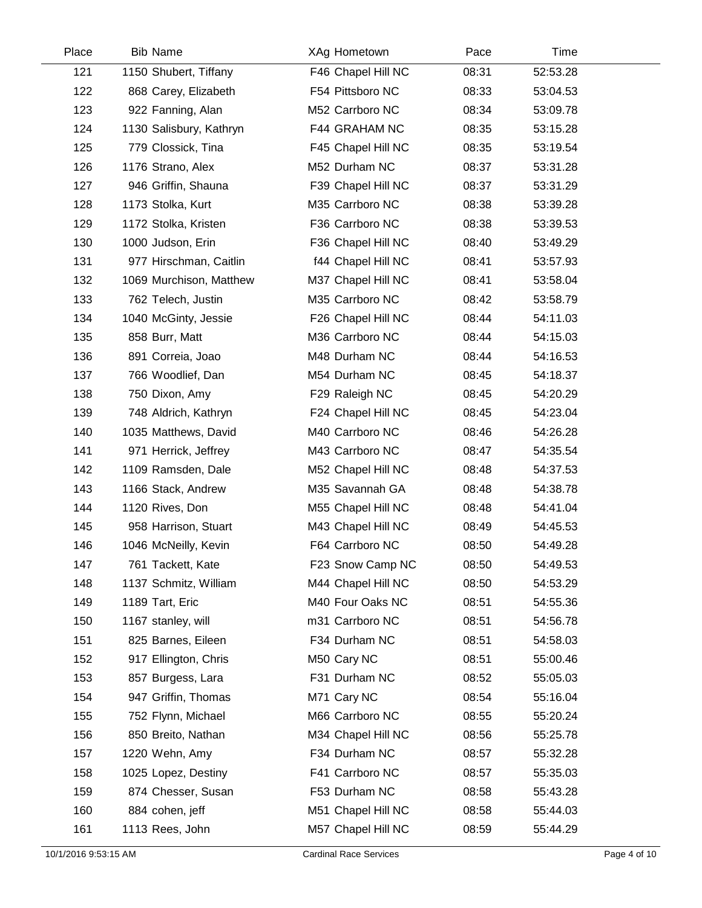| Place | <b>Bib Name</b>         | XAg Hometown       | Pace  | Time     |  |
|-------|-------------------------|--------------------|-------|----------|--|
| 121   | 1150 Shubert, Tiffany   | F46 Chapel Hill NC | 08:31 | 52:53.28 |  |
| 122   | 868 Carey, Elizabeth    | F54 Pittsboro NC   | 08:33 | 53:04.53 |  |
| 123   | 922 Fanning, Alan       | M52 Carrboro NC    | 08:34 | 53:09.78 |  |
| 124   | 1130 Salisbury, Kathryn | F44 GRAHAM NC      | 08:35 | 53:15.28 |  |
| 125   | 779 Clossick, Tina      | F45 Chapel Hill NC | 08:35 | 53:19.54 |  |
| 126   | 1176 Strano, Alex       | M52 Durham NC      | 08:37 | 53:31.28 |  |
| 127   | 946 Griffin, Shauna     | F39 Chapel Hill NC | 08:37 | 53:31.29 |  |
| 128   | 1173 Stolka, Kurt       | M35 Carrboro NC    | 08:38 | 53:39.28 |  |
| 129   | 1172 Stolka, Kristen    | F36 Carrboro NC    | 08:38 | 53:39.53 |  |
| 130   | 1000 Judson, Erin       | F36 Chapel Hill NC | 08:40 | 53:49.29 |  |
| 131   | 977 Hirschman, Caitlin  | f44 Chapel Hill NC | 08:41 | 53:57.93 |  |
| 132   | 1069 Murchison, Matthew | M37 Chapel Hill NC | 08:41 | 53:58.04 |  |
| 133   | 762 Telech, Justin      | M35 Carrboro NC    | 08:42 | 53:58.79 |  |
| 134   | 1040 McGinty, Jessie    | F26 Chapel Hill NC | 08:44 | 54:11.03 |  |
| 135   | 858 Burr, Matt          | M36 Carrboro NC    | 08:44 | 54:15.03 |  |
| 136   | 891 Correia, Joao       | M48 Durham NC      | 08:44 | 54:16.53 |  |
| 137   | 766 Woodlief, Dan       | M54 Durham NC      | 08:45 | 54:18.37 |  |
| 138   | 750 Dixon, Amy          | F29 Raleigh NC     | 08:45 | 54:20.29 |  |
| 139   | 748 Aldrich, Kathryn    | F24 Chapel Hill NC | 08:45 | 54:23.04 |  |
| 140   | 1035 Matthews, David    | M40 Carrboro NC    | 08:46 | 54:26.28 |  |
| 141   | 971 Herrick, Jeffrey    | M43 Carrboro NC    | 08:47 | 54:35.54 |  |
| 142   | 1109 Ramsden, Dale      | M52 Chapel Hill NC | 08:48 | 54:37.53 |  |
| 143   | 1166 Stack, Andrew      | M35 Savannah GA    | 08:48 | 54:38.78 |  |
| 144   | 1120 Rives, Don         | M55 Chapel Hill NC | 08:48 | 54:41.04 |  |
| 145   | 958 Harrison, Stuart    | M43 Chapel Hill NC | 08:49 | 54:45.53 |  |
| 146   | 1046 McNeilly, Kevin    | F64 Carrboro NC    | 08:50 | 54:49.28 |  |
| 147   | 761 Tackett, Kate       | F23 Snow Camp NC   | 08:50 | 54:49.53 |  |
| 148   | 1137 Schmitz, William   | M44 Chapel Hill NC | 08:50 | 54:53.29 |  |
| 149   | 1189 Tart, Eric         | M40 Four Oaks NC   | 08:51 | 54:55.36 |  |
| 150   | 1167 stanley, will      | m31 Carrboro NC    | 08:51 | 54:56.78 |  |
| 151   | 825 Barnes, Eileen      | F34 Durham NC      | 08:51 | 54:58.03 |  |
| 152   | 917 Ellington, Chris    | M50 Cary NC        | 08:51 | 55:00.46 |  |
| 153   | 857 Burgess, Lara       | F31 Durham NC      | 08:52 | 55:05.03 |  |
| 154   | 947 Griffin, Thomas     | M71 Cary NC        | 08:54 | 55:16.04 |  |
| 155   | 752 Flynn, Michael      | M66 Carrboro NC    | 08:55 | 55:20.24 |  |
| 156   | 850 Breito, Nathan      | M34 Chapel Hill NC | 08:56 | 55:25.78 |  |
| 157   | 1220 Wehn, Amy          | F34 Durham NC      | 08:57 | 55:32.28 |  |
| 158   | 1025 Lopez, Destiny     | F41 Carrboro NC    | 08:57 | 55:35.03 |  |
| 159   | 874 Chesser, Susan      | F53 Durham NC      | 08:58 | 55:43.28 |  |
| 160   | 884 cohen, jeff         | M51 Chapel Hill NC | 08:58 | 55:44.03 |  |
| 161   | 1113 Rees, John         | M57 Chapel Hill NC | 08:59 | 55:44.29 |  |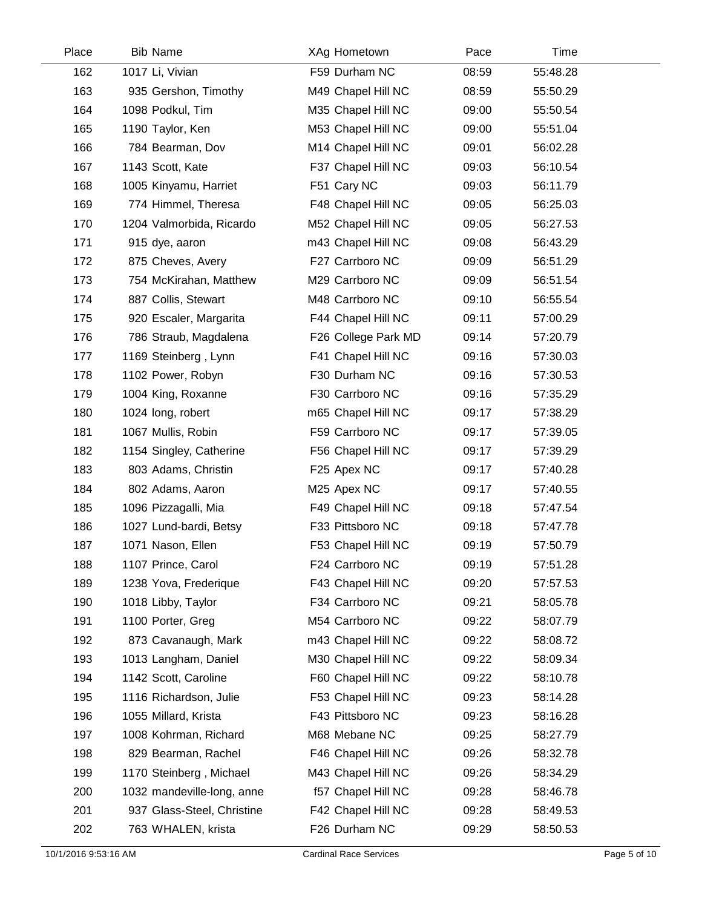| Place | <b>Bib Name</b>            | XAg Hometown        | Pace  | Time     |  |
|-------|----------------------------|---------------------|-------|----------|--|
| 162   | 1017 Li, Vivian            | F59 Durham NC       | 08:59 | 55:48.28 |  |
| 163   | 935 Gershon, Timothy       | M49 Chapel Hill NC  | 08:59 | 55:50.29 |  |
| 164   | 1098 Podkul, Tim           | M35 Chapel Hill NC  | 09:00 | 55:50.54 |  |
| 165   | 1190 Taylor, Ken           | M53 Chapel Hill NC  | 09:00 | 55:51.04 |  |
| 166   | 784 Bearman, Dov           | M14 Chapel Hill NC  | 09:01 | 56:02.28 |  |
| 167   | 1143 Scott, Kate           | F37 Chapel Hill NC  | 09:03 | 56:10.54 |  |
| 168   | 1005 Kinyamu, Harriet      | F51 Cary NC         | 09:03 | 56:11.79 |  |
| 169   | 774 Himmel, Theresa        | F48 Chapel Hill NC  | 09:05 | 56:25.03 |  |
| 170   | 1204 Valmorbida, Ricardo   | M52 Chapel Hill NC  | 09:05 | 56:27.53 |  |
| 171   | 915 dye, aaron             | m43 Chapel Hill NC  | 09:08 | 56:43.29 |  |
| 172   | 875 Cheves, Avery          | F27 Carrboro NC     | 09:09 | 56:51.29 |  |
| 173   | 754 McKirahan, Matthew     | M29 Carrboro NC     | 09:09 | 56:51.54 |  |
| 174   | 887 Collis, Stewart        | M48 Carrboro NC     | 09:10 | 56:55.54 |  |
| 175   | 920 Escaler, Margarita     | F44 Chapel Hill NC  | 09:11 | 57:00.29 |  |
| 176   | 786 Straub, Magdalena      | F26 College Park MD | 09:14 | 57:20.79 |  |
| 177   | 1169 Steinberg, Lynn       | F41 Chapel Hill NC  | 09:16 | 57:30.03 |  |
| 178   | 1102 Power, Robyn          | F30 Durham NC       | 09:16 | 57:30.53 |  |
| 179   | 1004 King, Roxanne         | F30 Carrboro NC     | 09:16 | 57:35.29 |  |
| 180   | 1024 long, robert          | m65 Chapel Hill NC  | 09:17 | 57:38.29 |  |
| 181   | 1067 Mullis, Robin         | F59 Carrboro NC     | 09:17 | 57:39.05 |  |
| 182   | 1154 Singley, Catherine    | F56 Chapel Hill NC  | 09:17 | 57:39.29 |  |
| 183   | 803 Adams, Christin        | F25 Apex NC         | 09:17 | 57:40.28 |  |
| 184   | 802 Adams, Aaron           | M25 Apex NC         | 09:17 | 57:40.55 |  |
| 185   | 1096 Pizzagalli, Mia       | F49 Chapel Hill NC  | 09:18 | 57:47.54 |  |
| 186   | 1027 Lund-bardi, Betsy     | F33 Pittsboro NC    | 09:18 | 57:47.78 |  |
| 187   | 1071 Nason, Ellen          | F53 Chapel Hill NC  | 09:19 | 57:50.79 |  |
| 188   | 1107 Prince, Carol         | F24 Carrboro NC     | 09:19 | 57:51.28 |  |
| 189   | 1238 Yova, Frederique      | F43 Chapel Hill NC  | 09:20 | 57:57.53 |  |
| 190   | 1018 Libby, Taylor         | F34 Carrboro NC     | 09:21 | 58:05.78 |  |
| 191   | 1100 Porter, Greg          | M54 Carrboro NC     | 09:22 | 58:07.79 |  |
| 192   | 873 Cavanaugh, Mark        | m43 Chapel Hill NC  | 09:22 | 58:08.72 |  |
| 193   | 1013 Langham, Daniel       | M30 Chapel Hill NC  | 09:22 | 58:09.34 |  |
| 194   | 1142 Scott, Caroline       | F60 Chapel Hill NC  | 09:22 | 58:10.78 |  |
| 195   | 1116 Richardson, Julie     | F53 Chapel Hill NC  | 09:23 | 58:14.28 |  |
| 196   | 1055 Millard, Krista       | F43 Pittsboro NC    | 09:23 | 58:16.28 |  |
| 197   | 1008 Kohrman, Richard      | M68 Mebane NC       | 09:25 | 58:27.79 |  |
| 198   | 829 Bearman, Rachel        | F46 Chapel Hill NC  | 09:26 | 58:32.78 |  |
| 199   | 1170 Steinberg, Michael    | M43 Chapel Hill NC  | 09:26 | 58:34.29 |  |
| 200   | 1032 mandeville-long, anne | f57 Chapel Hill NC  | 09:28 | 58:46.78 |  |
| 201   | 937 Glass-Steel, Christine | F42 Chapel Hill NC  | 09:28 | 58:49.53 |  |
| 202   | 763 WHALEN, krista         | F26 Durham NC       | 09:29 | 58:50.53 |  |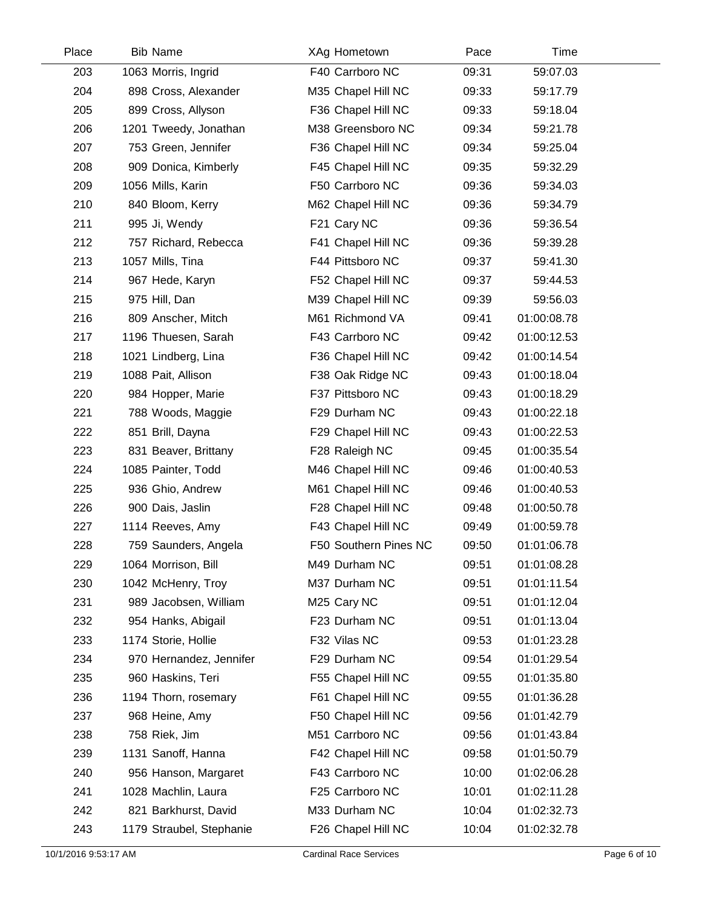| Place | <b>Bib Name</b>          | XAg Hometown          | Pace  | Time        |  |
|-------|--------------------------|-----------------------|-------|-------------|--|
| 203   | 1063 Morris, Ingrid      | F40 Carrboro NC       | 09:31 | 59:07.03    |  |
| 204   | 898 Cross, Alexander     | M35 Chapel Hill NC    | 09:33 | 59:17.79    |  |
| 205   | 899 Cross, Allyson       | F36 Chapel Hill NC    | 09:33 | 59:18.04    |  |
| 206   | 1201 Tweedy, Jonathan    | M38 Greensboro NC     | 09:34 | 59:21.78    |  |
| 207   | 753 Green, Jennifer      | F36 Chapel Hill NC    | 09:34 | 59:25.04    |  |
| 208   | 909 Donica, Kimberly     | F45 Chapel Hill NC    | 09:35 | 59:32.29    |  |
| 209   | 1056 Mills, Karin        | F50 Carrboro NC       | 09:36 | 59:34.03    |  |
| 210   | 840 Bloom, Kerry         | M62 Chapel Hill NC    | 09:36 | 59:34.79    |  |
| 211   | 995 Ji, Wendy            | F21 Cary NC           | 09:36 | 59:36.54    |  |
| 212   | 757 Richard, Rebecca     | F41 Chapel Hill NC    | 09:36 | 59:39.28    |  |
| 213   | 1057 Mills, Tina         | F44 Pittsboro NC      | 09:37 | 59:41.30    |  |
| 214   | 967 Hede, Karyn          | F52 Chapel Hill NC    | 09:37 | 59:44.53    |  |
| 215   | 975 Hill, Dan            | M39 Chapel Hill NC    | 09:39 | 59:56.03    |  |
| 216   | 809 Anscher, Mitch       | M61 Richmond VA       | 09:41 | 01:00:08.78 |  |
| 217   | 1196 Thuesen, Sarah      | F43 Carrboro NC       | 09:42 | 01:00:12.53 |  |
| 218   | 1021 Lindberg, Lina      | F36 Chapel Hill NC    | 09:42 | 01:00:14.54 |  |
| 219   | 1088 Pait, Allison       | F38 Oak Ridge NC      | 09:43 | 01:00:18.04 |  |
| 220   | 984 Hopper, Marie        | F37 Pittsboro NC      | 09:43 | 01:00:18.29 |  |
| 221   | 788 Woods, Maggie        | F29 Durham NC         | 09:43 | 01:00:22.18 |  |
| 222   | 851 Brill, Dayna         | F29 Chapel Hill NC    | 09:43 | 01:00:22.53 |  |
| 223   | 831 Beaver, Brittany     | F28 Raleigh NC        | 09:45 | 01:00:35.54 |  |
| 224   | 1085 Painter, Todd       | M46 Chapel Hill NC    | 09:46 | 01:00:40.53 |  |
| 225   | 936 Ghio, Andrew         | M61 Chapel Hill NC    | 09:46 | 01:00:40.53 |  |
| 226   | 900 Dais, Jaslin         | F28 Chapel Hill NC    | 09:48 | 01:00:50.78 |  |
| 227   | 1114 Reeves, Amy         | F43 Chapel Hill NC    | 09:49 | 01:00:59.78 |  |
| 228   | 759 Saunders, Angela     | F50 Southern Pines NC | 09:50 | 01:01:06.78 |  |
| 229   | 1064 Morrison, Bill      | M49 Durham NC         | 09:51 | 01:01:08.28 |  |
| 230   | 1042 McHenry, Troy       | M37 Durham NC         | 09:51 | 01:01:11.54 |  |
| 231   | 989 Jacobsen, William    | M25 Cary NC           | 09:51 | 01:01:12.04 |  |
| 232   | 954 Hanks, Abigail       | F23 Durham NC         | 09:51 | 01:01:13.04 |  |
| 233   | 1174 Storie, Hollie      | F32 Vilas NC          | 09:53 | 01:01:23.28 |  |
| 234   | 970 Hernandez, Jennifer  | F29 Durham NC         | 09:54 | 01:01:29.54 |  |
| 235   | 960 Haskins, Teri        | F55 Chapel Hill NC    | 09:55 | 01:01:35.80 |  |
| 236   | 1194 Thorn, rosemary     | F61 Chapel Hill NC    | 09:55 | 01:01:36.28 |  |
| 237   | 968 Heine, Amy           | F50 Chapel Hill NC    | 09:56 | 01:01:42.79 |  |
| 238   | 758 Riek, Jim            | M51 Carrboro NC       | 09:56 | 01:01:43.84 |  |
| 239   | 1131 Sanoff, Hanna       | F42 Chapel Hill NC    | 09:58 | 01:01:50.79 |  |
| 240   | 956 Hanson, Margaret     | F43 Carrboro NC       | 10:00 | 01:02:06.28 |  |
| 241   | 1028 Machlin, Laura      | F25 Carrboro NC       | 10:01 | 01:02:11.28 |  |
| 242   | 821 Barkhurst, David     | M33 Durham NC         | 10:04 | 01:02:32.73 |  |
| 243   | 1179 Straubel, Stephanie | F26 Chapel Hill NC    | 10:04 | 01:02:32.78 |  |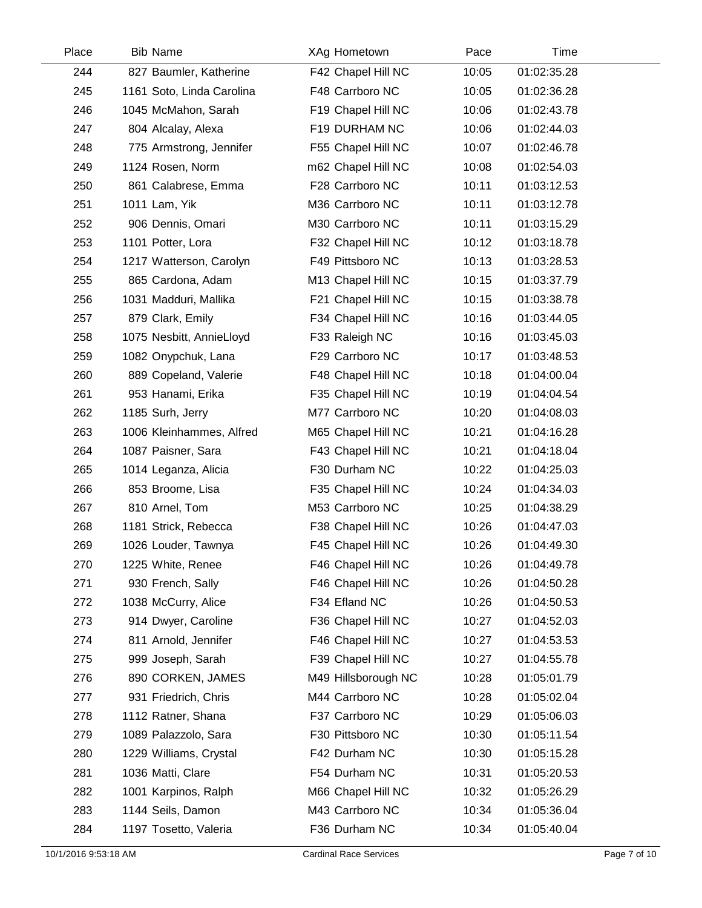| Place | <b>Bib Name</b>           | XAg Hometown        | Pace  | Time        |
|-------|---------------------------|---------------------|-------|-------------|
| 244   | 827 Baumler, Katherine    | F42 Chapel Hill NC  | 10:05 | 01:02:35.28 |
| 245   | 1161 Soto, Linda Carolina | F48 Carrboro NC     | 10:05 | 01:02:36.28 |
| 246   | 1045 McMahon, Sarah       | F19 Chapel Hill NC  | 10:06 | 01:02:43.78 |
| 247   | 804 Alcalay, Alexa        | F19 DURHAM NC       | 10:06 | 01:02:44.03 |
| 248   | 775 Armstrong, Jennifer   | F55 Chapel Hill NC  | 10:07 | 01:02:46.78 |
| 249   | 1124 Rosen, Norm          | m62 Chapel Hill NC  | 10:08 | 01:02:54.03 |
| 250   | 861 Calabrese, Emma       | F28 Carrboro NC     | 10:11 | 01:03:12.53 |
| 251   | 1011 Lam, Yik             | M36 Carrboro NC     | 10:11 | 01:03:12.78 |
| 252   | 906 Dennis, Omari         | M30 Carrboro NC     | 10:11 | 01:03:15.29 |
| 253   | 1101 Potter, Lora         | F32 Chapel Hill NC  | 10:12 | 01:03:18.78 |
| 254   | 1217 Watterson, Carolyn   | F49 Pittsboro NC    | 10:13 | 01:03:28.53 |
| 255   | 865 Cardona, Adam         | M13 Chapel Hill NC  | 10:15 | 01:03:37.79 |
| 256   | 1031 Madduri, Mallika     | F21 Chapel Hill NC  | 10:15 | 01:03:38.78 |
| 257   | 879 Clark, Emily          | F34 Chapel Hill NC  | 10:16 | 01:03:44.05 |
| 258   | 1075 Nesbitt, AnnieLloyd  | F33 Raleigh NC      | 10:16 | 01:03:45.03 |
| 259   | 1082 Onypchuk, Lana       | F29 Carrboro NC     | 10:17 | 01:03:48.53 |
| 260   | 889 Copeland, Valerie     | F48 Chapel Hill NC  | 10:18 | 01:04:00.04 |
| 261   | 953 Hanami, Erika         | F35 Chapel Hill NC  | 10:19 | 01:04:04.54 |
| 262   | 1185 Surh, Jerry          | M77 Carrboro NC     | 10:20 | 01:04:08.03 |
| 263   | 1006 Kleinhammes, Alfred  | M65 Chapel Hill NC  | 10:21 | 01:04:16.28 |
| 264   | 1087 Paisner, Sara        | F43 Chapel Hill NC  | 10:21 | 01:04:18.04 |
| 265   | 1014 Leganza, Alicia      | F30 Durham NC       | 10:22 | 01:04:25.03 |
| 266   | 853 Broome, Lisa          | F35 Chapel Hill NC  | 10:24 | 01:04:34.03 |
| 267   | 810 Arnel, Tom            | M53 Carrboro NC     | 10:25 | 01:04:38.29 |
| 268   | 1181 Strick, Rebecca      | F38 Chapel Hill NC  | 10:26 | 01:04:47.03 |
| 269   | 1026 Louder, Tawnya       | F45 Chapel Hill NC  | 10:26 | 01:04:49.30 |
| 270   | 1225 White, Renee         | F46 Chapel Hill NC  | 10:26 | 01:04:49.78 |
| 271   | 930 French, Sally         | F46 Chapel Hill NC  | 10:26 | 01:04:50.28 |
| 272   | 1038 McCurry, Alice       | F34 Efland NC       | 10:26 | 01:04:50.53 |
| 273   | 914 Dwyer, Caroline       | F36 Chapel Hill NC  | 10:27 | 01:04:52.03 |
| 274   | 811 Arnold, Jennifer      | F46 Chapel Hill NC  | 10:27 | 01:04:53.53 |
| 275   | 999 Joseph, Sarah         | F39 Chapel Hill NC  | 10:27 | 01:04:55.78 |
| 276   | 890 CORKEN, JAMES         | M49 Hillsborough NC | 10:28 | 01:05:01.79 |
| 277   | 931 Friedrich, Chris      | M44 Carrboro NC     | 10:28 | 01:05:02.04 |
| 278   | 1112 Ratner, Shana        | F37 Carrboro NC     | 10:29 | 01:05:06.03 |
| 279   | 1089 Palazzolo, Sara      | F30 Pittsboro NC    | 10:30 | 01:05:11.54 |
| 280   | 1229 Williams, Crystal    | F42 Durham NC       | 10:30 | 01:05:15.28 |
| 281   | 1036 Matti, Clare         | F54 Durham NC       | 10:31 | 01:05:20.53 |
| 282   | 1001 Karpinos, Ralph      | M66 Chapel Hill NC  | 10:32 | 01:05:26.29 |
| 283   | 1144 Seils, Damon         | M43 Carrboro NC     | 10:34 | 01:05:36.04 |
| 284   | 1197 Tosetto, Valeria     | F36 Durham NC       | 10:34 | 01:05:40.04 |
|       |                           |                     |       |             |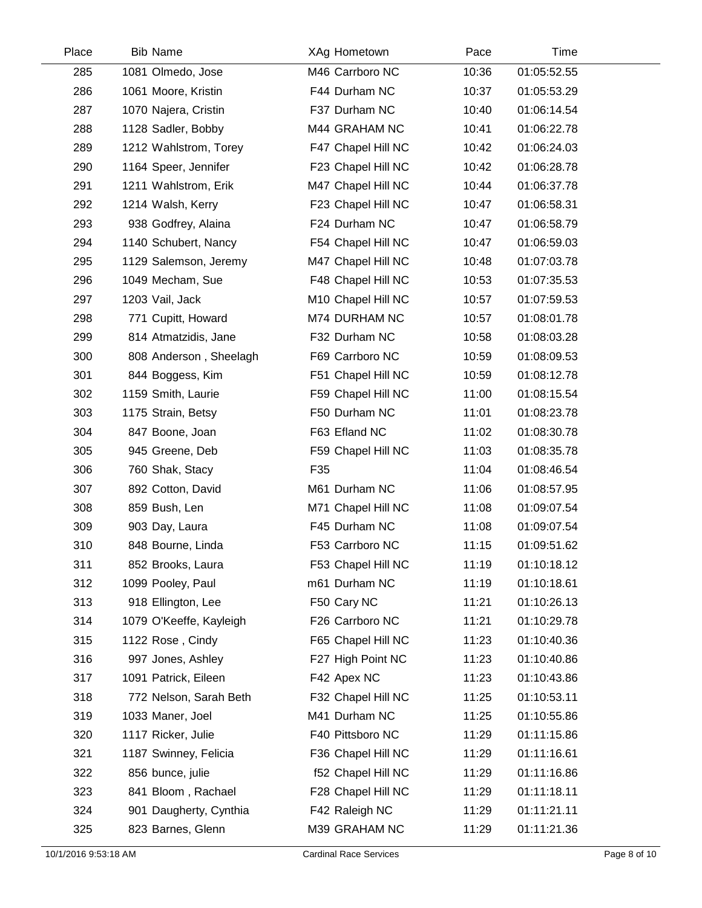| Place | <b>Bib Name</b>         | XAg Hometown       | Pace  | <b>Time</b> |  |
|-------|-------------------------|--------------------|-------|-------------|--|
| 285   | 1081 Olmedo, Jose       | M46 Carrboro NC    | 10:36 | 01:05:52.55 |  |
| 286   | 1061 Moore, Kristin     | F44 Durham NC      | 10:37 | 01:05:53.29 |  |
| 287   | 1070 Najera, Cristin    | F37 Durham NC      | 10:40 | 01:06:14.54 |  |
| 288   | 1128 Sadler, Bobby      | M44 GRAHAM NC      | 10:41 | 01:06:22.78 |  |
| 289   | 1212 Wahlstrom, Torey   | F47 Chapel Hill NC | 10:42 | 01:06:24.03 |  |
| 290   | 1164 Speer, Jennifer    | F23 Chapel Hill NC | 10:42 | 01:06:28.78 |  |
| 291   | 1211 Wahlstrom, Erik    | M47 Chapel Hill NC | 10:44 | 01:06:37.78 |  |
| 292   | 1214 Walsh, Kerry       | F23 Chapel Hill NC | 10:47 | 01:06:58.31 |  |
| 293   | 938 Godfrey, Alaina     | F24 Durham NC      | 10:47 | 01:06:58.79 |  |
| 294   | 1140 Schubert, Nancy    | F54 Chapel Hill NC | 10:47 | 01:06:59.03 |  |
| 295   | 1129 Salemson, Jeremy   | M47 Chapel Hill NC | 10:48 | 01:07:03.78 |  |
| 296   | 1049 Mecham, Sue        | F48 Chapel Hill NC | 10:53 | 01:07:35.53 |  |
| 297   | 1203 Vail, Jack         | M10 Chapel Hill NC | 10:57 | 01:07:59.53 |  |
| 298   | 771 Cupitt, Howard      | M74 DURHAM NC      | 10:57 | 01:08:01.78 |  |
| 299   | 814 Atmatzidis, Jane    | F32 Durham NC      | 10:58 | 01:08:03.28 |  |
| 300   | 808 Anderson, Sheelagh  | F69 Carrboro NC    | 10:59 | 01:08:09.53 |  |
| 301   | 844 Boggess, Kim        | F51 Chapel Hill NC | 10:59 | 01:08:12.78 |  |
| 302   | 1159 Smith, Laurie      | F59 Chapel Hill NC | 11:00 | 01:08:15.54 |  |
| 303   | 1175 Strain, Betsy      | F50 Durham NC      | 11:01 | 01:08:23.78 |  |
| 304   | 847 Boone, Joan         | F63 Efland NC      | 11:02 | 01:08:30.78 |  |
| 305   | 945 Greene, Deb         | F59 Chapel Hill NC | 11:03 | 01:08:35.78 |  |
| 306   | 760 Shak, Stacy         | F35                | 11:04 | 01:08:46.54 |  |
| 307   | 892 Cotton, David       | M61 Durham NC      | 11:06 | 01:08:57.95 |  |
| 308   | 859 Bush, Len           | M71 Chapel Hill NC | 11:08 | 01:09:07.54 |  |
| 309   | 903 Day, Laura          | F45 Durham NC      | 11:08 | 01:09:07.54 |  |
| 310   | 848 Bourne, Linda       | F53 Carrboro NC    | 11:15 | 01:09:51.62 |  |
| 311   | 852 Brooks, Laura       | F53 Chapel Hill NC | 11:19 | 01:10:18.12 |  |
| 312   | 1099 Pooley, Paul       | m61 Durham NC      | 11:19 | 01:10:18.61 |  |
| 313   | 918 Ellington, Lee      | F50 Cary NC        | 11:21 | 01:10:26.13 |  |
| 314   | 1079 O'Keeffe, Kayleigh | F26 Carrboro NC    | 11:21 | 01:10:29.78 |  |
| 315   | 1122 Rose, Cindy        | F65 Chapel Hill NC | 11:23 | 01:10:40.36 |  |
| 316   | 997 Jones, Ashley       | F27 High Point NC  | 11:23 | 01:10:40.86 |  |
| 317   | 1091 Patrick, Eileen    | F42 Apex NC        | 11:23 | 01:10:43.86 |  |
| 318   | 772 Nelson, Sarah Beth  | F32 Chapel Hill NC | 11:25 | 01:10:53.11 |  |
| 319   | 1033 Maner, Joel        | M41 Durham NC      | 11:25 | 01:10:55.86 |  |
| 320   | 1117 Ricker, Julie      | F40 Pittsboro NC   | 11:29 | 01:11:15.86 |  |
| 321   | 1187 Swinney, Felicia   | F36 Chapel Hill NC | 11:29 | 01:11:16.61 |  |
| 322   | 856 bunce, julie        | f52 Chapel Hill NC | 11:29 | 01:11:16.86 |  |
| 323   | 841 Bloom, Rachael      | F28 Chapel Hill NC | 11:29 | 01:11:18.11 |  |
| 324   | 901 Daugherty, Cynthia  | F42 Raleigh NC     | 11:29 | 01:11:21.11 |  |
| 325   | 823 Barnes, Glenn       | M39 GRAHAM NC      | 11:29 | 01:11:21.36 |  |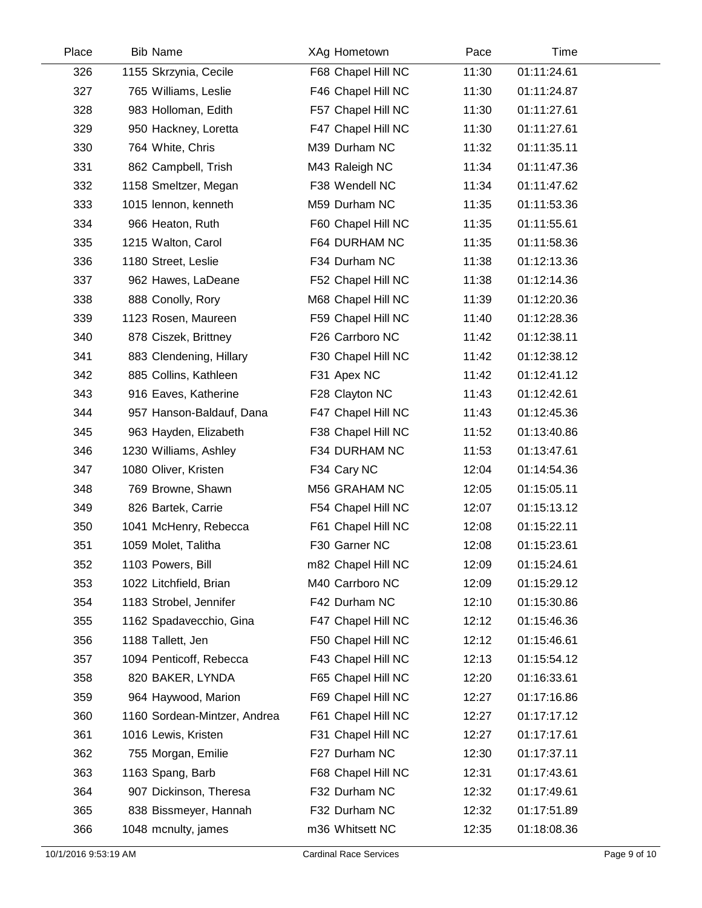| Place | <b>Bib Name</b>              | XAg Hometown       | Pace  | Time        |  |
|-------|------------------------------|--------------------|-------|-------------|--|
| 326   | 1155 Skrzynia, Cecile        | F68 Chapel Hill NC | 11:30 | 01:11:24.61 |  |
| 327   | 765 Williams, Leslie         | F46 Chapel Hill NC | 11:30 | 01:11:24.87 |  |
| 328   | 983 Holloman, Edith          | F57 Chapel Hill NC | 11:30 | 01:11:27.61 |  |
| 329   | 950 Hackney, Loretta         | F47 Chapel Hill NC | 11:30 | 01:11:27.61 |  |
| 330   | 764 White, Chris             | M39 Durham NC      | 11:32 | 01:11:35.11 |  |
| 331   | 862 Campbell, Trish          | M43 Raleigh NC     | 11:34 | 01:11:47.36 |  |
| 332   | 1158 Smeltzer, Megan         | F38 Wendell NC     | 11:34 | 01:11:47.62 |  |
| 333   | 1015 lennon, kenneth         | M59 Durham NC      | 11:35 | 01:11:53.36 |  |
| 334   | 966 Heaton, Ruth             | F60 Chapel Hill NC | 11:35 | 01:11:55.61 |  |
| 335   | 1215 Walton, Carol           | F64 DURHAM NC      | 11:35 | 01:11:58.36 |  |
| 336   | 1180 Street, Leslie          | F34 Durham NC      | 11:38 | 01:12:13.36 |  |
| 337   | 962 Hawes, LaDeane           | F52 Chapel Hill NC | 11:38 | 01:12:14.36 |  |
| 338   | 888 Conolly, Rory            | M68 Chapel Hill NC | 11:39 | 01:12:20.36 |  |
| 339   | 1123 Rosen, Maureen          | F59 Chapel Hill NC | 11:40 | 01:12:28.36 |  |
| 340   | 878 Ciszek, Brittney         | F26 Carrboro NC    | 11:42 | 01:12:38.11 |  |
| 341   | 883 Clendening, Hillary      | F30 Chapel Hill NC | 11:42 | 01:12:38.12 |  |
| 342   | 885 Collins, Kathleen        | F31 Apex NC        | 11:42 | 01:12:41.12 |  |
| 343   | 916 Eaves, Katherine         | F28 Clayton NC     | 11:43 | 01:12:42.61 |  |
| 344   | 957 Hanson-Baldauf, Dana     | F47 Chapel Hill NC | 11:43 | 01:12:45.36 |  |
| 345   | 963 Hayden, Elizabeth        | F38 Chapel Hill NC | 11:52 | 01:13:40.86 |  |
| 346   | 1230 Williams, Ashley        | F34 DURHAM NC      | 11:53 | 01:13:47.61 |  |
| 347   | 1080 Oliver, Kristen         | F34 Cary NC        | 12:04 | 01:14:54.36 |  |
| 348   | 769 Browne, Shawn            | M56 GRAHAM NC      | 12:05 | 01:15:05.11 |  |
| 349   | 826 Bartek, Carrie           | F54 Chapel Hill NC | 12:07 | 01:15:13.12 |  |
| 350   | 1041 McHenry, Rebecca        | F61 Chapel Hill NC | 12:08 | 01:15:22.11 |  |
| 351   | 1059 Molet, Talitha          | F30 Garner NC      | 12:08 | 01:15:23.61 |  |
| 352   | 1103 Powers, Bill            | m82 Chapel Hill NC | 12:09 | 01:15:24.61 |  |
| 353   | 1022 Litchfield, Brian       | M40 Carrboro NC    | 12:09 | 01:15:29.12 |  |
| 354   | 1183 Strobel, Jennifer       | F42 Durham NC      | 12:10 | 01:15:30.86 |  |
| 355   | 1162 Spadavecchio, Gina      | F47 Chapel Hill NC | 12:12 | 01:15:46.36 |  |
| 356   | 1188 Tallett, Jen            | F50 Chapel Hill NC | 12:12 | 01:15:46.61 |  |
| 357   | 1094 Penticoff, Rebecca      | F43 Chapel Hill NC | 12:13 | 01:15:54.12 |  |
| 358   | 820 BAKER, LYNDA             | F65 Chapel Hill NC | 12:20 | 01:16:33.61 |  |
| 359   | 964 Haywood, Marion          | F69 Chapel Hill NC | 12:27 | 01:17:16.86 |  |
| 360   | 1160 Sordean-Mintzer, Andrea | F61 Chapel Hill NC | 12:27 | 01:17:17.12 |  |
| 361   | 1016 Lewis, Kristen          | F31 Chapel Hill NC | 12:27 | 01:17:17.61 |  |
| 362   | 755 Morgan, Emilie           | F27 Durham NC      | 12:30 | 01:17:37.11 |  |
| 363   | 1163 Spang, Barb             | F68 Chapel Hill NC | 12:31 | 01:17:43.61 |  |
| 364   | 907 Dickinson, Theresa       | F32 Durham NC      | 12:32 | 01:17:49.61 |  |
| 365   | 838 Bissmeyer, Hannah        | F32 Durham NC      | 12:32 | 01:17:51.89 |  |
| 366   | 1048 mcnulty, james          | m36 Whitsett NC    | 12:35 | 01:18:08.36 |  |
|       |                              |                    |       |             |  |